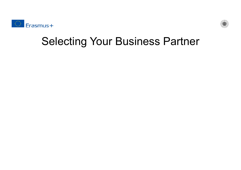



#### Selecting Your Business Partner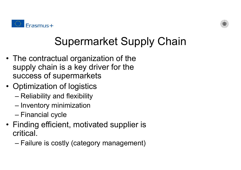



## Supermarket Supply Chain

- The contractual organization of the supply chain is a key driver for the success of supermarkets
- Optimization of logistics
	- Reliability and flexibility
	- –Inventory minimization
	- –Financial cycle
- Finding efficient, motivated supplier is critical.
	- –Failure is costly (category management)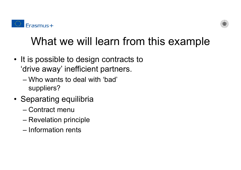



## What we will learn from this example

- It is possible to design contracts to 'drive away' inefficient partners.
	- Who wants to deal with 'bad' suppliers?
- Separating equilibria
	- Contract menu
	- Revelation principle
	- Information rents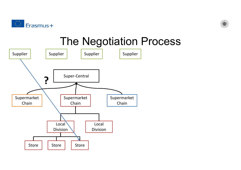



#### The Negotiation Process

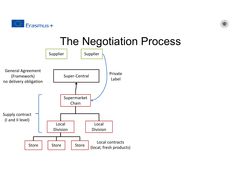



#### The Negotiation Process

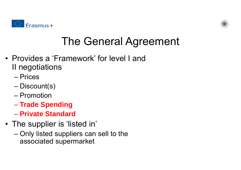



## The General Agreement

- Provides a 'Framework' for level I and II negotiations
	- Prices
	- Discount(s)
	- Promotion
	- **Trade Spending**
	- **Private Standard**
- The supplier is 'listed in'
	- Only listed suppliers can sell to the associated supermarket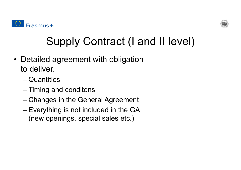



# Supply Contract (I and II level)

- Detailed agreement with obligation to deliver.
	- Quantities
	- –Timing and conditons
	- –Changes in the General Agreement
	- Everything is not included in the GA (new openings, special sales etc.)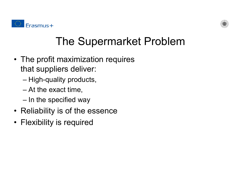



## The Supermarket Problem

- The profit maximization requires that suppliers deliver:
	- –High-quality products,
	- –At the exact time,
	- –In the specified way
- Reliability is of the essence
- Flexibility is required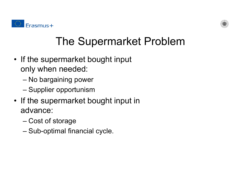



# The Supermarket Problem

- If the supermarket bought input only when needed:
	- –No bargaining power
	- –Supplier opportunism
- If the supermarket bought input in advance:
	- Cost of storage
	- –Sub-optimal financial cycle.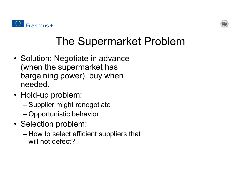



## The Supermarket Problem

- Solution: Negotiate in advance (when the supermarket has bargaining power), buy when needed.
- Hold-up problem:
	- –Supplier might renegotiate
	- Opportunistic behavior
- Selection problem:
	- How to select efficient suppliers that will not defect?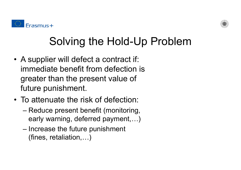



## Solving the Hold-Up Problem

- A supplier will defect a contract if: immediate benefit from defection is greater than the present value of future punishment.
- To attenuate the risk of defection:
	- Reduce present benefit (monitoring, early warning, deferred payment,…)
	- Increase the future punishment (fines, retaliation,…)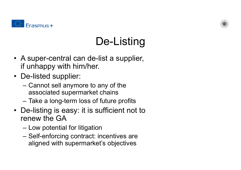



# De-Listing

- A super-central can de-list a supplier, if unhappy with him/her.
- De-listed supplier:
	- – Cannot sell anymore to any of the associated supermarket chains
	- –Take a long-term loss of future profits
- De-listing is easy: it is sufficient not to renew the GA
	- Low potential for litigation
	- Self-enforcing contract: incentives are aligned with supermarket's objectives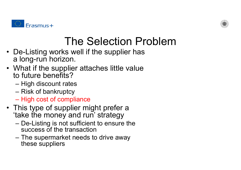



#### The Selection Problem

- De-Listing works well if the supplier has a long-run horizon.
- What if the supplier attaches little value to future benefits?
	- High discount rates
	- Risk of bankruptcy
	- High cost of compliance
- This type of supplier might prefer a 'take the money and run' strategy
	- De-Listing is not sufficient to ensure the success of the transaction
	- The supermarket needs to drive away these suppliers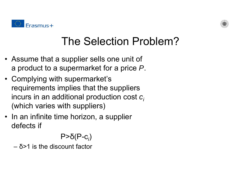



## The Selection Problem?

- Assume that a supplier sells one unit of a product to a supermarket for a price *P*.
- Complying with supermarket's requirements implies that the suppliers incurs in an additional production cost  $\boldsymbol{c}_i$ (which varies with suppliers)
- In an infinite time horizon, a supplier defects if

#### P> δ(P-c*i*)

– δ>1 is the discount factor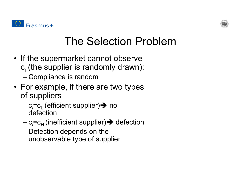



## The Selection Problem

- If the supermarket cannot observe  $\mathbf{c}_{\mathsf{i}}$  (the supplier is randomly drawn): –Compliance is random
- For example, if there are two types of suppliers
	- c*;*=c<sub>L</sub> (efficient supplier)**→** no defection
	- c*;*=c<sub>H</sub> (inefficient supplier)**→** defection
	- Defection depends on the unobservable type of supplier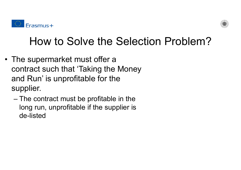



#### How to Solve the Selection Problem?

- The supermarket must offer a contract such that 'Taking the Money and Run' is unprofitable for the supplier.
	- The contract must be profitable in the long run, unprofitable if the supplier is de-listed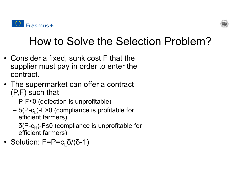



## How to Solve the Selection Problem?

- Consider a fixed, sunk cost F that the supplier must pay in order to enter the contract.
- The supermarket can offer a contract (P,F) such that:
	- P-F <sup>≤</sup>0 (defection is unprofitable)
	- $-$  δ(P-c<sub>L</sub>)-F>0 (compliance is profitable for efficient farmers)
	- δ(P-c<sub>H</sub>)-F≤0 (compliance is unprofitable for efficient farmers)
- Solution: F=P=c<sub>L</sub>δ/(δ-1)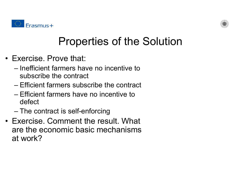



## Properties of the Solution

- Exercise. Prove that:
	- Inefficient farmers have no incentive to subscribe the contract
	- Efficient farmers subscribe the contract
	- Efficient farmers have no incentive to defect
	- The contract is self-enforcing
- Exercise. Comment the result. What are the economic basic mechanisms at work?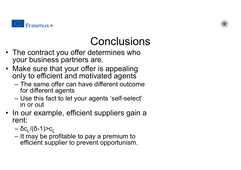



#### Conclusions

- The contract you offer determines who your business partners are.
- Make sure that your offer is appealing only to efficient and motivated agents
	- The same offer can have different outcome for different agents
	- Use this fact to let your agents 'self-select' in or out
- In our example, efficient suppliers gain a rent:
	- δc<sub>L</sub>/(δ-1)>c<sub>L</sub>
	- It may be profitable to pay a premium to efficient supplier to prevent opportunism.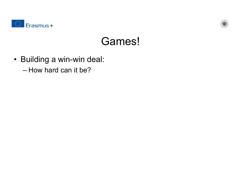



#### Games!

- Building a win-win deal:
	- How hard can it be?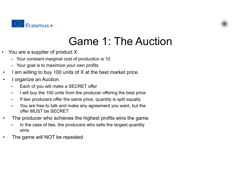



#### Game 1: The Auction

- $\bullet$  You are a supplier of product X
	- Your constant marginal cost of production is 10
	- Your goal is to maximize your own profits
- •I am willing to buy 100 units of X at the best market price.
- • I organize an Auction.
	- Each of you will make a SECRET offer
	- I will buy the 100 units from the producer offering the best price
	- If two producers offer the same price, quantity is split equally
	- You are free to talk and make any agreement you want, but the offer MUST be SECRET
- • The producer who achieves the highest profits wins the game.
	- In the case of ties, the producers who sells the largest quantity wins
- •The game will NOT be repeated